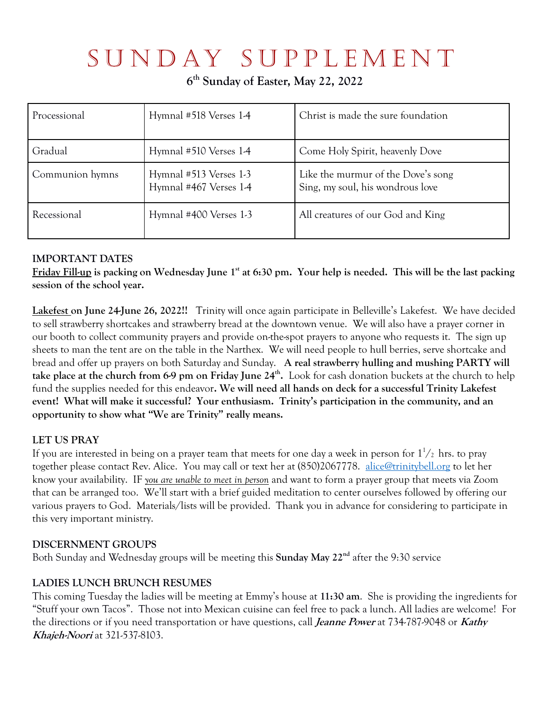# S u n d ay S u p p l e m e n t

**6 th Sunday of Easter, May 22, 2022**

| Processional    | Hymnal #518 Verses 1-4                           | Christ is made the sure foundation                                     |
|-----------------|--------------------------------------------------|------------------------------------------------------------------------|
| Gradual         | Hymnal #510 Verses 1-4                           | Come Holy Spirit, heavenly Dove                                        |
| Communion hymns | Hymnal #513 Verses 1-3<br>Hymnal #467 Verses 1-4 | Like the murmur of the Dove's song<br>Sing, my soul, his wondrous love |
| Recessional     | Hymnal #400 Verses 1-3                           | All creatures of our God and King                                      |

## **IMPORTANT DATES**

**Friday Fill-up is packing on Wednesday June 1st at 6:30 pm. Your help is needed. This will be the last packing session of the school year.** 

**Lakefest on June 24-June 26, 2022!!** Trinity will once again participate in Belleville's Lakefest. We have decided to sell strawberry shortcakes and strawberry bread at the downtown venue. We will also have a prayer corner in our booth to collect community prayers and provide on-the-spot prayers to anyone who requests it. The sign up sheets to man the tent are on the table in the Narthex. We will need people to hull berries, serve shortcake and bread and offer up prayers on both Saturday and Sunday. **A real strawberry hulling and mushing PARTY will take place at the church from 6-9 pm on Friday June 24<sup>th</sup>.** Look for cash donation buckets at the church to help fund the supplies needed for this endeavor**. We will need all hands on deck for a successful Trinity Lakefest event! What will make it successful? Your enthusiasm. Trinity's participation in the community, and an opportunity to show what "We are Trinity" really means.**

## **LET US PRAY**

If you are interested in being on a prayer team that meets for one day a week in person for  $1^1\!/_2$  hrs. to pray together please contact Rev. Alice. You may call or text her at (850)2067778. alice@trinitybell.org to let her know your availability. IF *you are unable to meet in person* and want to form a prayer group that meets via Zoom that can be arranged too. We'll start with a brief guided meditation to center ourselves followed by offering our various prayers to God. Materials/lists will be provided. Thank you in advance for considering to participate in this very important ministry.

## **DISCERNMENT GROUPS**

Both Sunday and Wednesday groups will be meeting this **Sunday May 22nd** after the 9:30 service

## **LADIES LUNCH BRUNCH RESUMES**

This coming Tuesday the ladies will be meeting at Emmy's house at **11:30 am**. She is providing the ingredients for "Stuff your own Tacos". Those not into Mexican cuisine can feel free to pack a lunch. All ladies are welcome! For the directions or if you need transportation or have questions, call **Jeanne Power** at 734-787-9048 or **Kathy Khajeh-Noori** at 321-537-8103.